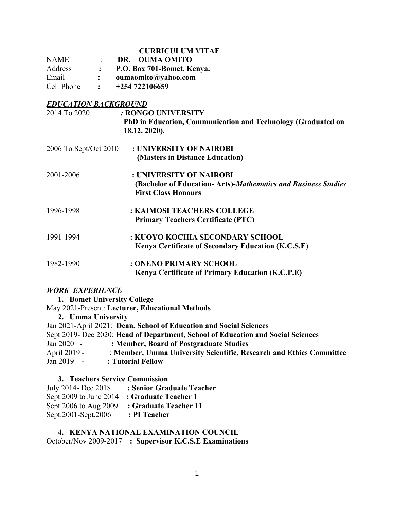## **CURRICULUM VITAE**

| <b>NAME</b> |                | DR. OUMA OMITO             |
|-------------|----------------|----------------------------|
| Address     |                | P.O. Box 701-Bomet, Kenya. |
| Email       |                | oumaomito@yahoo.com        |
| Cell Phone  | $\ddot{\cdot}$ | $+254722106659$            |

# *EDUCATION BACKGROUND*

| <u> 22 cuitto: Dichonocite</u><br>2014 To 2020 | : RONGO UNIVERSITY                                            |
|------------------------------------------------|---------------------------------------------------------------|
|                                                | PhD in Education, Communication and Technology (Graduated on  |
|                                                | 18.12. 2020).                                                 |
| 2006 To Sept/Oct 2010                          | : UNIVERSITY OF NAIROBI                                       |
|                                                | (Masters in Distance Education)                               |
| 2001-2006                                      | : UNIVERSITY OF NAIROBI                                       |
|                                                | (Bachelor of Education-Arts)-Mathematics and Business Studies |
|                                                | <b>First Class Honours</b>                                    |
| 1996-1998                                      | : KAIMOSI TEACHERS COLLEGE                                    |
|                                                | <b>Primary Teachers Certificate (PTC)</b>                     |
| 1991-1994                                      | : KUOYO KOCHIA SECONDARY SCHOOL                               |
|                                                | Kenya Certificate of Secondary Education (K.C.S.E)            |
| 1982-1990                                      | : ONENO PRIMARY SCHOOL                                        |
|                                                | <b>Kenya Certificate of Primary Education (K.C.P.E)</b>       |

### *WORK EXPERIENCE*

| 1. Bomet University College |                                                                                  |
|-----------------------------|----------------------------------------------------------------------------------|
|                             | May 2021-Present: Lecturer, Educational Methods                                  |
| 2. Umma University          |                                                                                  |
|                             | Jan 2021-April 2021: Dean, School of Education and Social Sciences               |
|                             | Sept 2019- Dec 2020: Head of Department, School of Education and Social Sciences |
| Jan $2020 -$                | : Member, Board of Postgraduate Studies                                          |
| April 2019 -                | : Member, Umma University Scientific, Research and Ethics Committee              |
| $Jan 2019 -$                | : Tutorial Fellow                                                                |
|                             |                                                                                  |

## **3. Teachers Service Commission** July 2014- Dec 2018 **: Senior Graduate Teacher** Sept 2009 to June 2014 **: Graduate Teacher 1**  Sept.2006 to Aug 2009 **: Graduate Teacher 11**  Sept.2001-Sept.2006 **: PI Teacher**

# **4. KENYA NATIONAL EXAMINATION COUNCIL** October/Nov 2009-2017 **: Supervisor K.C.S.E Examinations**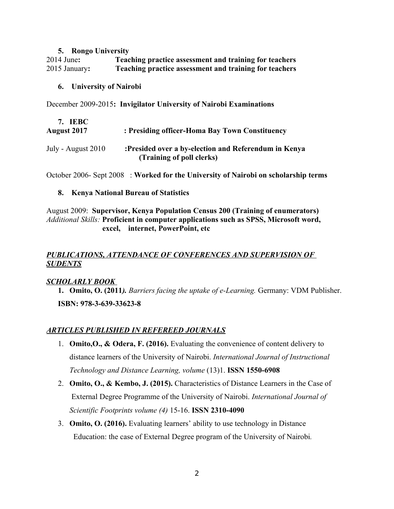### **5. Rongo University**

2014 June**: Teaching practice assessment and training for teachers** 2015 January**: Teaching practice assessment and training for teachers**

## **6. University of Nairobi**

December 2009-2015**: Invigilator University of Nairobi Examinations**

| 7. IEBC<br><b>August 2017</b> | : Presiding officer-Homa Bay Town Constituency                                    |
|-------------------------------|-----------------------------------------------------------------------------------|
| July - August 2010            | :Presided over a by-election and Referendum in Kenya<br>(Training of poll clerks) |

October 2006- Sept 2008 : **Worked for the University of Nairobi on scholarship terms**

# **8. Kenya National Bureau of Statistics**

August 2009: **Supervisor, Kenya Population Census 200 (Training of enumerators)** *Additional Skills:* **Proficient in computer applications such as SPSS, Microsoft word, excel, internet, PowerPoint, etc**

# *PUBLICATIONS, ATTENDANCE OF CONFERENCES AND SUPERVISION OF SUDENTS*

# *SCHOLARLY BOOK*

**1. Omito, O. (2011***). Barriers facing the uptake of e-Learning.* Germany: VDM Publisher. **ISBN: 978-3-639-33623-8**

# *ARTICLES PUBLISHED IN REFEREED JOURNALS*

- 1. **Omito,O., & Odera, F. (2016).** Evaluating the convenience of content delivery to distance learners of the University of Nairobi. *International Journal of Instructional Technology and Distance Learning, volume* (13)1. **ISSN 1550-6908**
- 2. **Omito, O., & Kembo, J. (2015).** Characteristics of Distance Learners in the Case of External Degree Programme of the University of Nairobi. *International Journal of Scientific Footprints volume (4)* 15-16. **ISSN 2310-4090**
- 3. **Omito, O. (2016).** Evaluating learners' ability to use technology in Distance Education: the case of External Degree program of the University of Nairobi*.*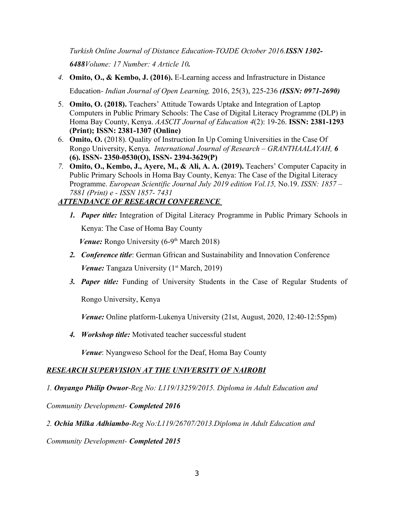*Turkish Online Journal of Distance Education-TOJDE October 2016.ISSN 1302-*

*6488Volume: 17 Number: 4 Article 10.*

- *4.* **Omito, O., & Kembo, J. (2016).** E-Learning access and Infrastructure in Distance Education*- Indian Journal of Open Learning,* 2016, 25(3), 225-236 *(ISSN: 0971-2690)*
- 5. **Omito, O. (2018).** Teachers' Attitude Towards Uptake and Integration of Laptop Computers in Public Primary Schools: The Case of Digital Literacy Programme (DLP) in Homa Bay County, Kenya. *AASCIT Journal of Education 4*(2): 19-26. **ISSN: 2381-1293 (Print); ISSN: 2381-1307 (Online)**
- 6. **Omito, O.** (2018). Quality of Instruction In Up Coming Universities in the Case Of Rongo University, Kenya. *International Journal of Research – GRANTHAALAYAH, 6* **(6). ISSN- 2350-0530(O), ISSN- 2394-3629(P)**
- *7.* **Omito, O., Kembo, J., Ayere, M., & Ali, A. A. (2019).** Teachers' Computer Capacity in Public Primary Schools in Homa Bay County, Kenya: The Case of the Digital Literacy Programme. *European Scientific Journal July 2019 edition Vol.15,* No.19. *ISSN: 1857 – 7881 (Print) e - ISSN 1857- 7431*

# *ATTENDANCE OF RESEARCH CONFERENCE*

*1. Paper title:* Integration of Digital Literacy Programme in Public Primary Schools in Kenya: The Case of Homa Bay County

*Venue:* Rongo University (6-9<sup>th</sup> March 2018)

- *2. Conference title*: German Gfrican and Sustainability and Innovation Conference *Venue: Tangaza University* (1<sup>st</sup> March, 2019)
- *3. Paper title:* Funding of University Students in the Case of Regular Students of

Rongo University, Kenya

*Venue:* Online platform-Lukenya University (21st, August, 2020, 12:40-12:55pm)

*4. Workshop title:* Motivated teacher successful student

*Venue*: Nyangweso School for the Deaf, Homa Bay County

# *RESEARCH SUPERVISION AT THE UNIVERSITY OF NAIROBI*

*1. Onyango Philip Owuor-Reg No: L119/13259/2015. Diploma in Adult Education and* 

*Community Development- Completed 2016*

*2. Ochia Milka Adhiambo-Reg No:L119/26707/2013.Diploma in Adult Education and* 

*Community Development- Completed 2015*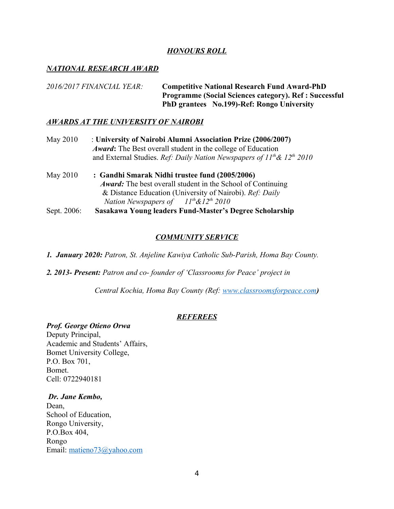## *HONOURS ROLL*

## *NATIONAL RESEARCH AWARD*

*2016/2017 FINANCIAL YEAR:* **Competitive National Research Fund Award-PhD Programme (Social Sciences category). Ref : Successful PhD grantees No.199)-Ref: Rongo University**

### *AWARDS AT THE UNIVERSITY OF NAIROBI*

- May 2010 : **University of Nairobi Alumni Association Prize (2006/2007)**  *Award***:** The Best overall student in the college of Education and External Studies. *Ref: Daily Nation Newspapers of 11th& 12th 2010*
- May 2010 **: Gandhi Smarak Nidhi trustee fund (2005/2006)**  *Award:* The best overall student in the School of Continuing & Distance Education (University of Nairobi). *Ref: Daily Nation Newspapers of 11th&12th 2010* Sept. 2006: **Sasakawa Young leaders Fund-Master's Degree Scholarship**

## *COMMUNITY SERVICE*

*1. January 2020: Patron, St. Anjeline Kawiya Catholic Sub-Parish, Homa Bay County.*

*2. 2013- Present: Patron and co- founder of 'Classrooms for Peace' project in* 

 *Central Kochia, Homa Bay County (Ref: www.classroomsforpeace.com)*

### *REFEREES*

#### *Prof. George Otieno Orwa*

Deputy Principal, Academic and Students' Affairs, Bomet University College, P.O. Box 701, Bomet. Cell: 0722940181

### *Dr. Jane Kembo,*

Dean, School of Education, Rongo University, P.O.Box 404, Rongo Email: matieno73@yahoo.com